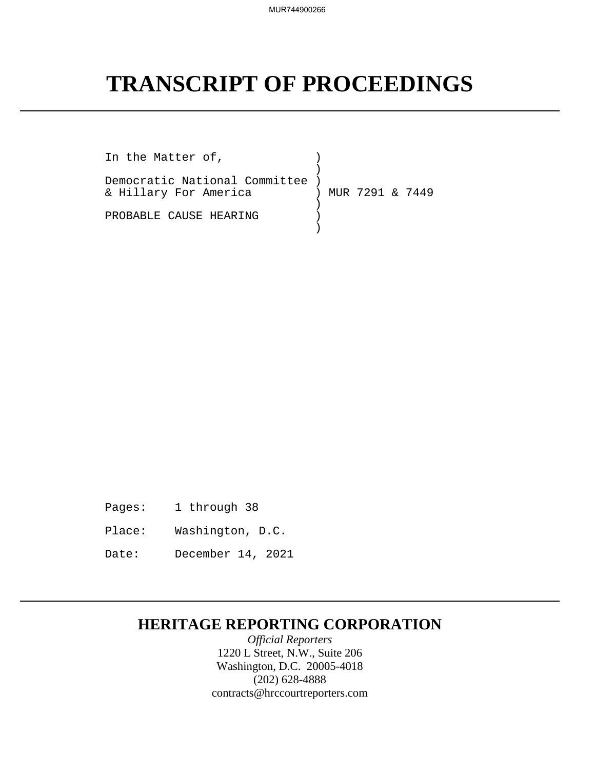# **TRANSCRIPT OF PROCEEDINGS**

In the Matter of,  $)$ ) and the contract of  $\mathcal{L}$  and  $\mathcal{L}$ Democratic National Committee ) & Hillary For America ) MUR 7291 & 7449 ) and the state  $\overline{a}$ PROBABLE CAUSE HEARING ) ) and the state  $\overline{a}$ 

- Pages: 1 through 38
- Place: Washington, D.C.
- Date: December 14, 2021

## **HERITAGE REPORTING CORPORATION**

*Official Reporters* 1220 L Street, N.W., Suite 206 Washington, D.C. 20005-4018 (202) 628-4888 contracts@hrccourtreporters.com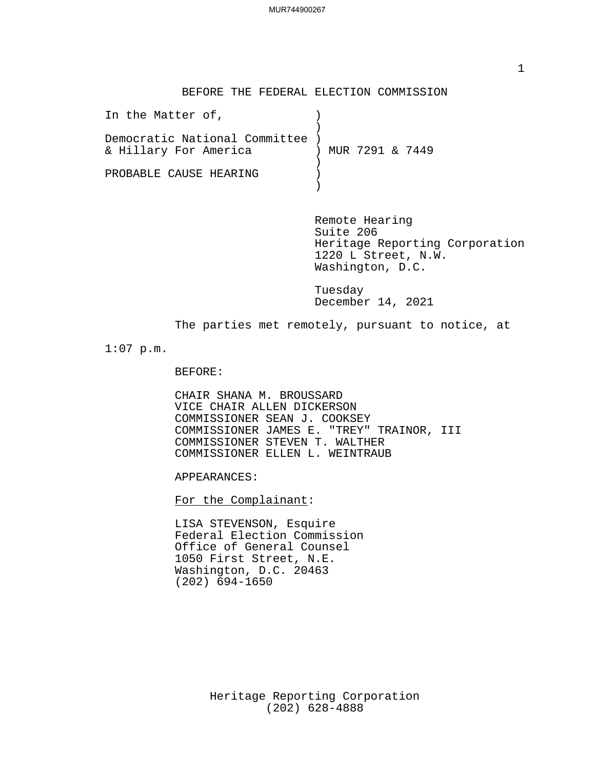#### BEFORE THE FEDERAL ELECTION COMMISSION

| In the Matter of,               |  |                   |  |  |
|---------------------------------|--|-------------------|--|--|
| Democratic National Committee ) |  |                   |  |  |
| & Hillary For America           |  | ) MUR 7291 & 7449 |  |  |
|                                 |  |                   |  |  |
| PROBABLE CAUSE HEARING          |  |                   |  |  |

Remote Hearing Suite 206 Heritage Reporting Corporation 1220 L Street, N.W. Washington, D.C.

Tuesday December 14, 2021

The parties met remotely, pursuant to notice, at

1:07 p.m.

BEFORE:

CHAIR SHANA M. BROUSSARD VICE CHAIR ALLEN DICKERSON COMMISSIONER SEAN J. COOKSEY COMMISSIONER JAMES E. "TREY" TRAINOR, III COMMISSIONER STEVEN T. WALTHER COMMISSIONER ELLEN L. WEINTRAUB

APPEARANCES:<br>For the Complainant:

LISA STEVENSON, Esquire Federal Election Commission Office of General Counsel 1050 First Street, N.E. Washington, D.C. 20463 (202) 694-1650

> Heritage Reporting Corporation (202) 628-4888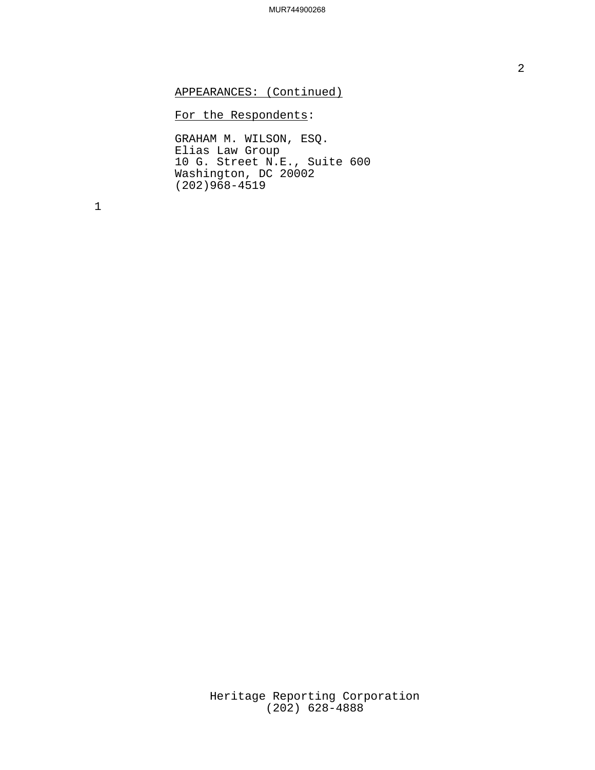APPEARANCES: (Continued)

### For the Respondents:

GRAHAM M. WILSON, ESQ. Elias Law Group 10 G. Street N.E., Suite 600 Washington, DC 20002 (202)968-4519

1

Heritage Reporting Corporation (202) 628-4888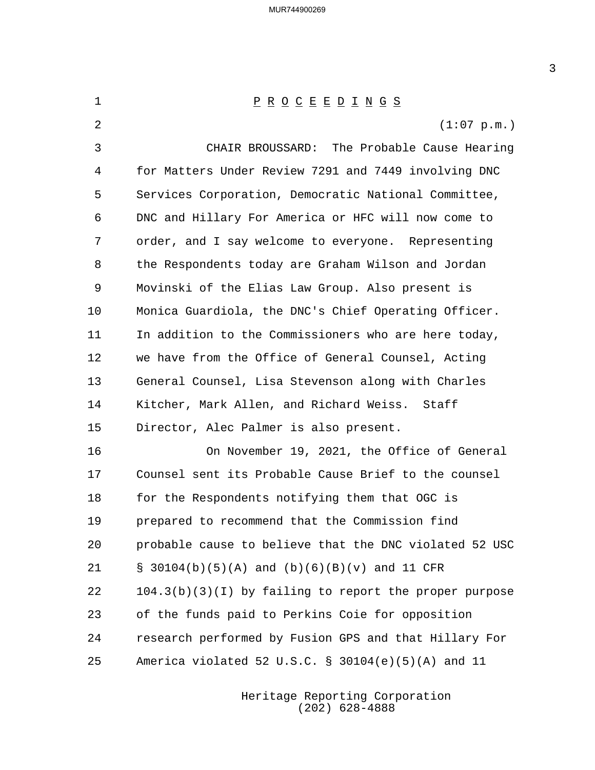1 P R O C E E D I N G S (1:07 p.m.) 3 CHAIR BROUSSARD: The Probable Cause Hearing for Matters Under Review 7291 and 7449 involving DNC Services Corporation, Democratic National Committee, DNC and Hillary For America or HFC will now come to order, and I say welcome to everyone. Representing the Respondents today are Graham Wilson and Jordan Movinski of the Elias Law Group. Also present is Monica Guardiola, the DNC's Chief Operating Officer. In addition to the Commissioners who are here today, we have from the Office of General Counsel, Acting General Counsel, Lisa Stevenson along with Charles Kitcher, Mark Allen, and Richard Weiss. Staff Director, Alec Palmer is also present. 16 On November 19, 2021, the Office of General Counsel sent its Probable Cause Brief to the counsel for the Respondents notifying them that OGC is prepared to recommend that the Commission find probable cause to believe that the DNC violated 52 USC § 30104(b)(5)(A) and (b)(6)(B)(v) and 11 CFR 104.3(b)(3)(I) by failing to report the proper purpose of the funds paid to Perkins Coie for opposition research performed by Fusion GPS and that Hillary For America violated 52 U.S.C. § 30104(e)(5)(A) and 11

> Heritage Reporting Corporation (202) 628-4888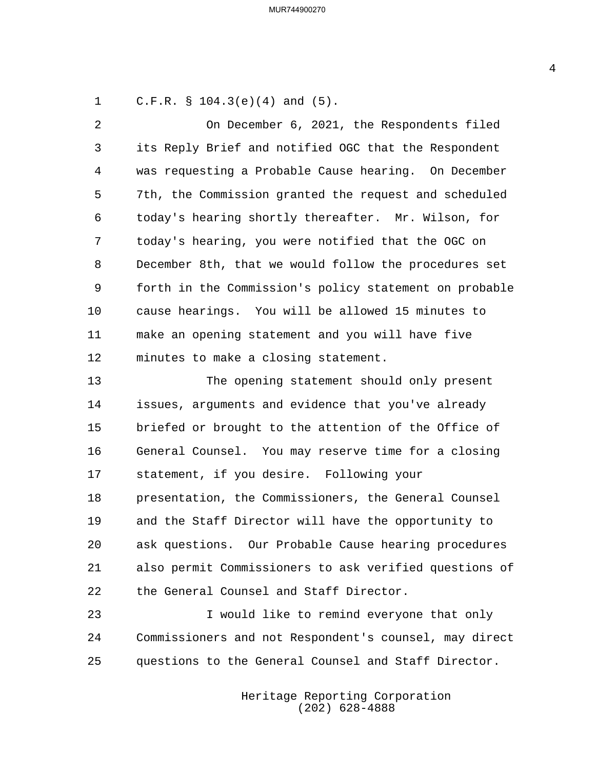C.F.R. § 104.3(e)(4) and (5).

2 On December 6, 2021, the Respondents filed its Reply Brief and notified OGC that the Respondent was requesting a Probable Cause hearing. On December 7th, the Commission granted the request and scheduled today's hearing shortly thereafter. Mr. Wilson, for today's hearing, you were notified that the OGC on December 8th, that we would follow the procedures set forth in the Commission's policy statement on probable cause hearings. You will be allowed 15 minutes to make an opening statement and you will have five minutes to make a closing statement.

13 The opening statement should only present issues, arguments and evidence that you've already briefed or brought to the attention of the Office of General Counsel. You may reserve time for a closing statement, if you desire. Following your presentation, the Commissioners, the General Counsel and the Staff Director will have the opportunity to ask questions. Our Probable Cause hearing procedures also permit Commissioners to ask verified questions of the General Counsel and Staff Director.

23 I would like to remind everyone that only Commissioners and not Respondent's counsel, may direct questions to the General Counsel and Staff Director.

> Heritage Reporting Corporation (202) 628-4888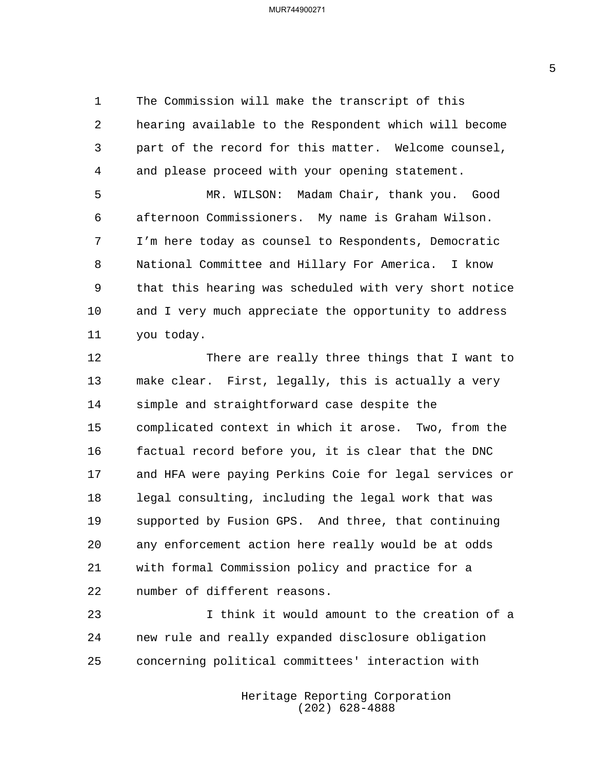The Commission will make the transcript of this hearing available to the Respondent which will become part of the record for this matter. Welcome counsel, and please proceed with your opening statement.

5 MR. WILSON: Madam Chair, thank you. Good afternoon Commissioners. My name is Graham Wilson. I'm here today as counsel to Respondents, Democratic National Committee and Hillary For America. I know that this hearing was scheduled with very short notice and I very much appreciate the opportunity to address you today.

12 There are really three things that I want to make clear. First, legally, this is actually a very simple and straightforward case despite the complicated context in which it arose. Two, from the factual record before you, it is clear that the DNC and HFA were paying Perkins Coie for legal services or legal consulting, including the legal work that was supported by Fusion GPS. And three, that continuing any enforcement action here really would be at odds with formal Commission policy and practice for a number of different reasons.

23 I think it would amount to the creation of a new rule and really expanded disclosure obligation concerning political committees' interaction with

> Heritage Reporting Corporation (202) 628-4888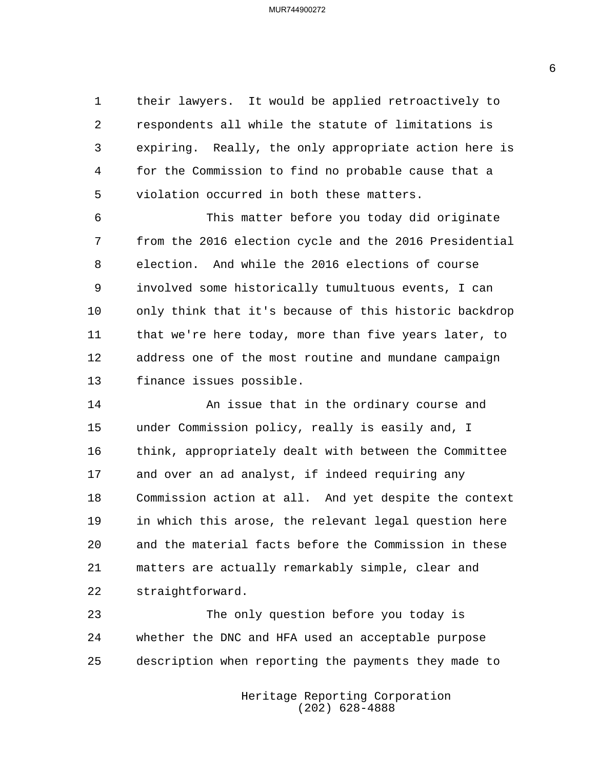their lawyers. It would be applied retroactively to respondents all while the statute of limitations is expiring. Really, the only appropriate action here is for the Commission to find no probable cause that a violation occurred in both these matters.

6 This matter before you today did originate from the 2016 election cycle and the 2016 Presidential election. And while the 2016 elections of course involved some historically tumultuous events, I can only think that it's because of this historic backdrop that we're here today, more than five years later, to address one of the most routine and mundane campaign finance issues possible.

14 An issue that in the ordinary course and under Commission policy, really is easily and, I think, appropriately dealt with between the Committee and over an ad analyst, if indeed requiring any Commission action at all. And yet despite the context in which this arose, the relevant legal question here and the material facts before the Commission in these matters are actually remarkably simple, clear and straightforward.

23 The only question before you today is whether the DNC and HFA used an acceptable purpose description when reporting the payments they made to

> Heritage Reporting Corporation (202) 628-4888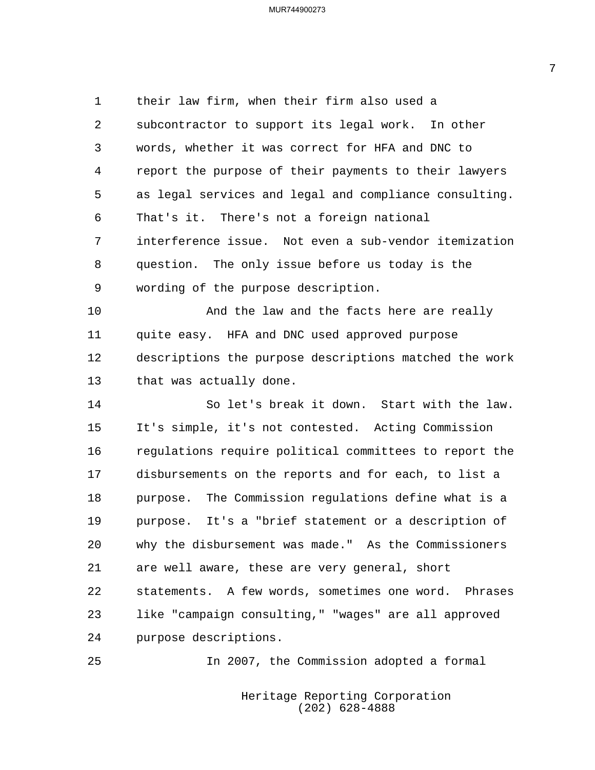their law firm, when their firm also used a subcontractor to support its legal work. In other words, whether it was correct for HFA and DNC to report the purpose of their payments to their lawyers as legal services and legal and compliance consulting. That's it. There's not a foreign national interference issue. Not even a sub-vendor itemization question. The only issue before us today is the wording of the purpose description. 10 And the law and the facts here are really quite easy. HFA and DNC used approved purpose descriptions the purpose descriptions matched the work that was actually done. 14 So let's break it down. Start with the law. It's simple, it's not contested. Acting Commission regulations require political committees to report the disbursements on the reports and for each, to list a purpose. The Commission regulations define what is a purpose. It's a "brief statement or a description of why the disbursement was made." As the Commissioners are well aware, these are very general, short statements. A few words, sometimes one word. Phrases like "campaign consulting," "wages" are all approved purpose descriptions.

25 In 2007, the Commission adopted a formal

Heritage Reporting Corporation (202) 628-4888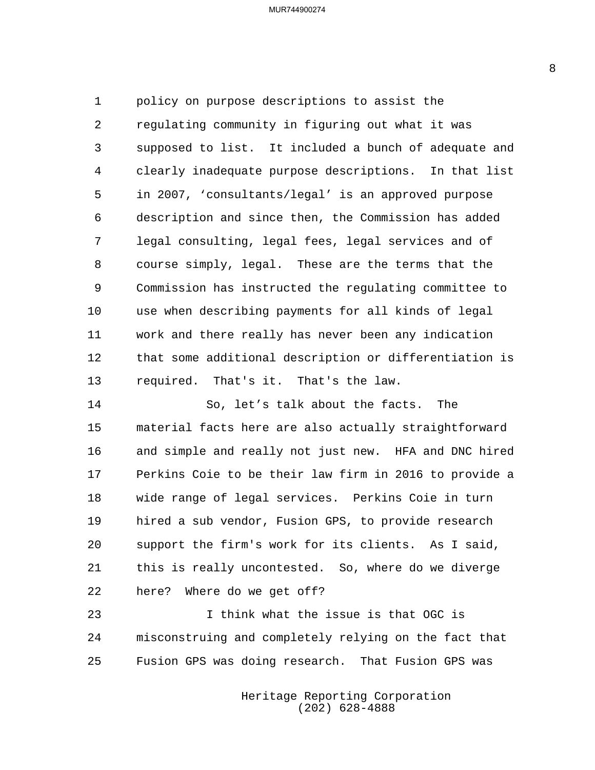policy on purpose descriptions to assist the regulating community in figuring out what it was supposed to list. It included a bunch of adequate and clearly inadequate purpose descriptions. In that list in 2007, 'consultants/legal' is an approved purpose description and since then, the Commission has added legal consulting, legal fees, legal services and of course simply, legal. These are the terms that the Commission has instructed the regulating committee to use when describing payments for all kinds of legal work and there really has never been any indication that some additional description or differentiation is required. That's it. That's the law.

14 So, let's talk about the facts. The material facts here are also actually straightforward and simple and really not just new. HFA and DNC hired Perkins Coie to be their law firm in 2016 to provide a wide range of legal services. Perkins Coie in turn hired a sub vendor, Fusion GPS, to provide research support the firm's work for its clients. As I said, this is really uncontested. So, where do we diverge here? Where do we get off?

23 I think what the issue is that OGC is misconstruing and completely relying on the fact that Fusion GPS was doing research. That Fusion GPS was

> Heritage Reporting Corporation (202) 628-4888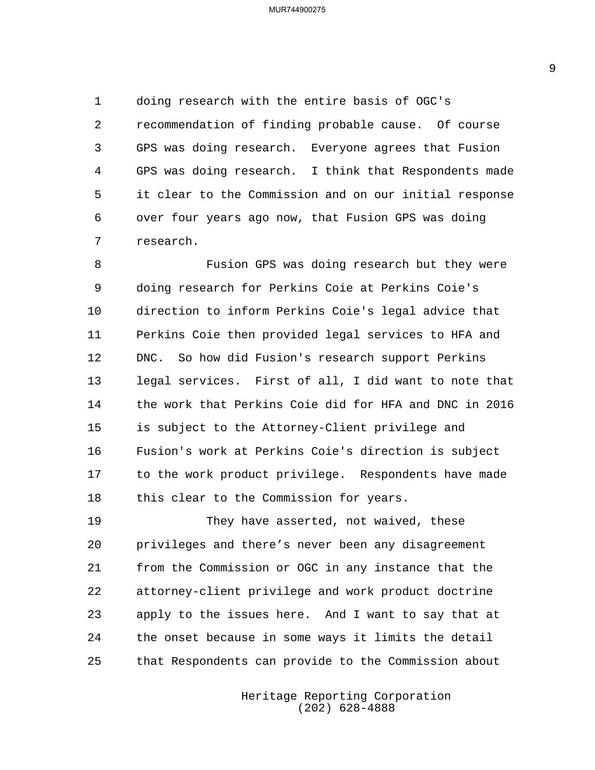doing research with the entire basis of OGC's recommendation of finding probable cause. Of course GPS was doing research. Everyone agrees that Fusion GPS was doing research. I think that Respondents made it clear to the Commission and on our initial response over four years ago now, that Fusion GPS was doing research.

8 Fusion GPS was doing research but they were doing research for Perkins Coie at Perkins Coie's direction to inform Perkins Coie's legal advice that Perkins Coie then provided legal services to HFA and DNC. So how did Fusion's research support Perkins legal services. First of all, I did want to note that the work that Perkins Coie did for HFA and DNC in 2016 is subject to the Attorney-Client privilege and Fusion's work at Perkins Coie's direction is subject to the work product privilege. Respondents have made 18 this clear to the Commission for years.

19 They have asserted, not waived, these privileges and there's never been any disagreement from the Commission or OGC in any instance that the attorney-client privilege and work product doctrine apply to the issues here. And I want to say that at the onset because in some ways it limits the detail that Respondents can provide to the Commission about

> Heritage Reporting Corporation (202) 628-4888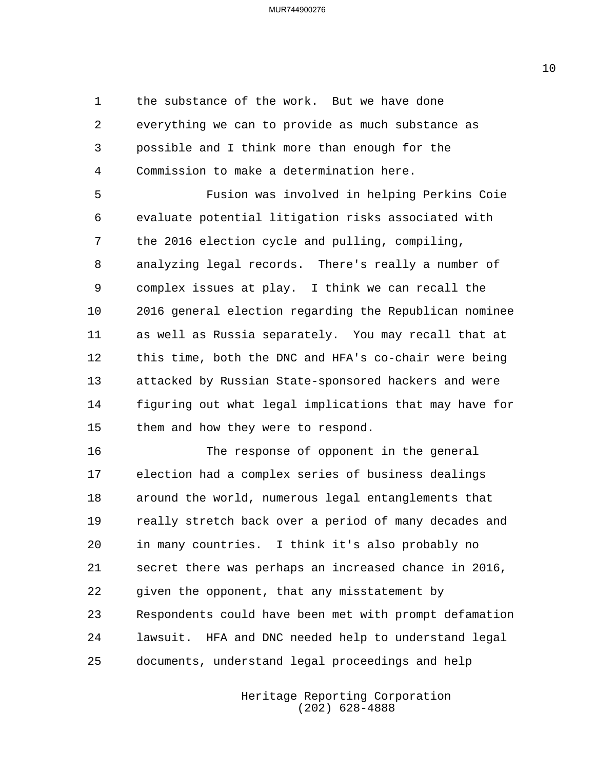the substance of the work. But we have done everything we can to provide as much substance as possible and I think more than enough for the Commission to make a determination here.

5 Fusion was involved in helping Perkins Coie evaluate potential litigation risks associated with the 2016 election cycle and pulling, compiling, analyzing legal records. There's really a number of complex issues at play. I think we can recall the 2016 general election regarding the Republican nominee as well as Russia separately. You may recall that at this time, both the DNC and HFA's co-chair were being attacked by Russian State-sponsored hackers and were figuring out what legal implications that may have for them and how they were to respond.

16 The response of opponent in the general election had a complex series of business dealings around the world, numerous legal entanglements that really stretch back over a period of many decades and in many countries. I think it's also probably no secret there was perhaps an increased chance in 2016, given the opponent, that any misstatement by Respondents could have been met with prompt defamation lawsuit. HFA and DNC needed help to understand legal documents, understand legal proceedings and help

> Heritage Reporting Corporation (202) 628-4888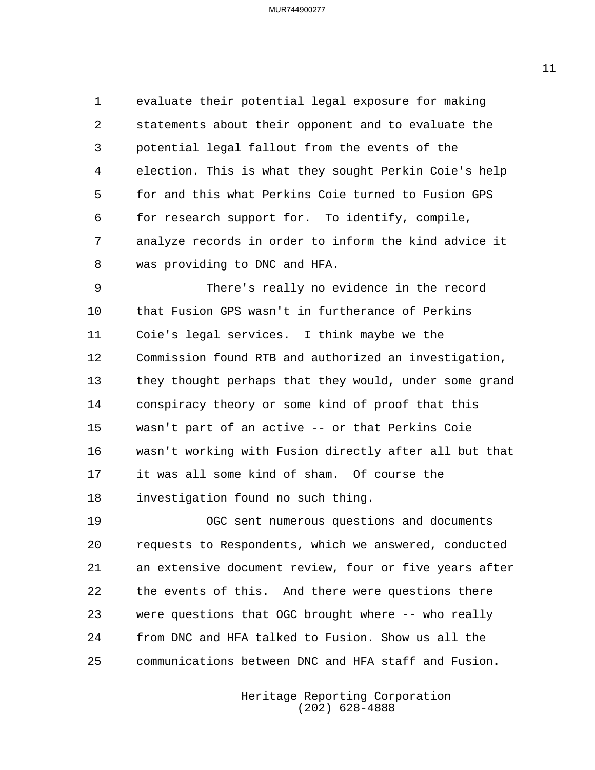evaluate their potential legal exposure for making statements about their opponent and to evaluate the potential legal fallout from the events of the election. This is what they sought Perkin Coie's help for and this what Perkins Coie turned to Fusion GPS for research support for. To identify, compile, analyze records in order to inform the kind advice it was providing to DNC and HFA.

9 There's really no evidence in the record that Fusion GPS wasn't in furtherance of Perkins Coie's legal services. I think maybe we the Commission found RTB and authorized an investigation, they thought perhaps that they would, under some grand conspiracy theory or some kind of proof that this wasn't part of an active -- or that Perkins Coie wasn't working with Fusion directly after all but that it was all some kind of sham. Of course the investigation found no such thing.

19 OGC sent numerous questions and documents requests to Respondents, which we answered, conducted an extensive document review, four or five years after the events of this. And there were questions there were questions that OGC brought where -- who really from DNC and HFA talked to Fusion. Show us all the communications between DNC and HFA staff and Fusion.

> Heritage Reporting Corporation (202) 628-4888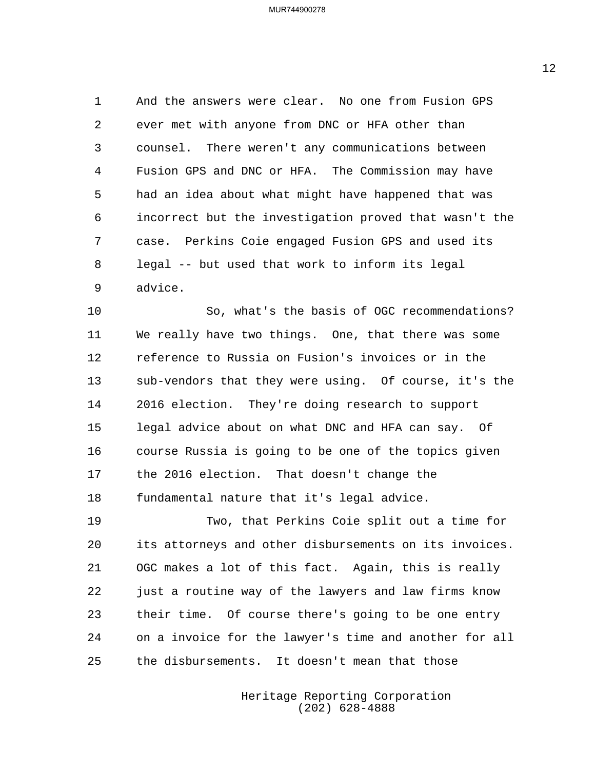And the answers were clear. No one from Fusion GPS ever met with anyone from DNC or HFA other than counsel. There weren't any communications between Fusion GPS and DNC or HFA. The Commission may have had an idea about what might have happened that was incorrect but the investigation proved that wasn't the case. Perkins Coie engaged Fusion GPS and used its legal -- but used that work to inform its legal advice.

10 So, what's the basis of OGC recommendations? We really have two things. One, that there was some reference to Russia on Fusion's invoices or in the sub-vendors that they were using. Of course, it's the 2016 election. They're doing research to support legal advice about on what DNC and HFA can say. Of course Russia is going to be one of the topics given the 2016 election. That doesn't change the fundamental nature that it's legal advice.

19 Two, that Perkins Coie split out a time for its attorneys and other disbursements on its invoices. OGC makes a lot of this fact. Again, this is really just a routine way of the lawyers and law firms know their time. Of course there's going to be one entry on a invoice for the lawyer's time and another for all the disbursements. It doesn't mean that those

> Heritage Reporting Corporation (202) 628-4888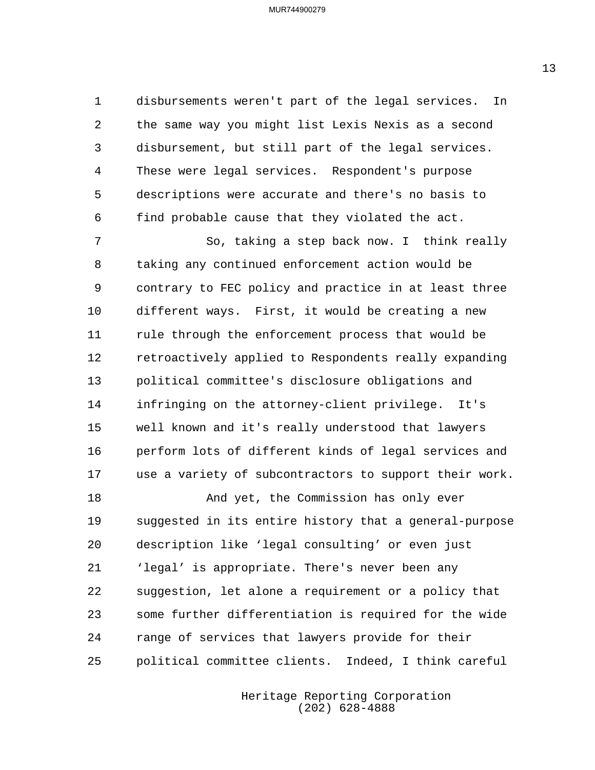disbursements weren't part of the legal services. In the same way you might list Lexis Nexis as a second disbursement, but still part of the legal services. These were legal services. Respondent's purpose descriptions were accurate and there's no basis to find probable cause that they violated the act.

7 So, taking a step back now. I think really taking any continued enforcement action would be contrary to FEC policy and practice in at least three different ways. First, it would be creating a new rule through the enforcement process that would be retroactively applied to Respondents really expanding political committee's disclosure obligations and infringing on the attorney-client privilege. It's well known and it's really understood that lawyers perform lots of different kinds of legal services and use a variety of subcontractors to support their work.

18 And yet, the Commission has only ever suggested in its entire history that a general-purpose description like 'legal consulting' or even just 'legal' is appropriate. There's never been any suggestion, let alone a requirement or a policy that some further differentiation is required for the wide range of services that lawyers provide for their political committee clients. Indeed, I think careful

> Heritage Reporting Corporation (202) 628-4888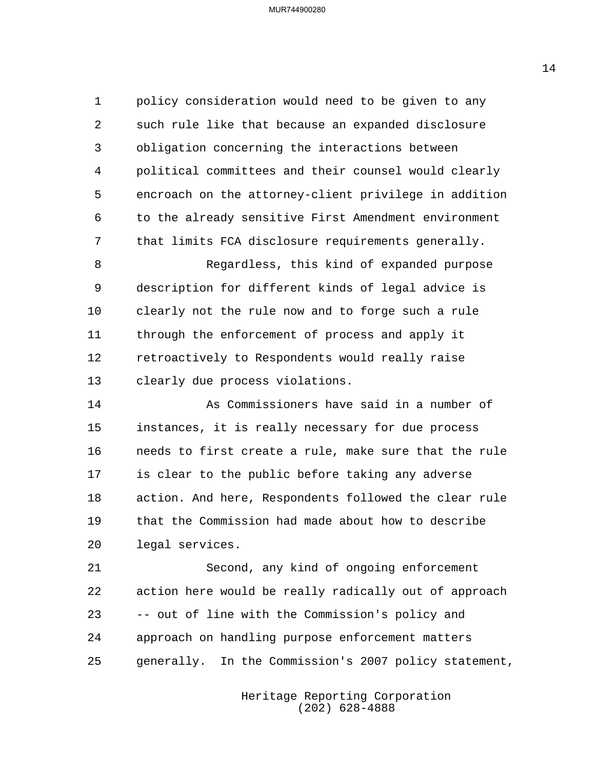policy consideration would need to be given to any such rule like that because an expanded disclosure obligation concerning the interactions between political committees and their counsel would clearly encroach on the attorney-client privilege in addition to the already sensitive First Amendment environment that limits FCA disclosure requirements generally.

8 Regardless, this kind of expanded purpose description for different kinds of legal advice is clearly not the rule now and to forge such a rule through the enforcement of process and apply it retroactively to Respondents would really raise clearly due process violations.

14 As Commissioners have said in a number of instances, it is really necessary for due process needs to first create a rule, make sure that the rule is clear to the public before taking any adverse action. And here, Respondents followed the clear rule that the Commission had made about how to describe legal services.

21 Second, any kind of ongoing enforcement action here would be really radically out of approach -- out of line with the Commission's policy and approach on handling purpose enforcement matters generally. In the Commission's 2007 policy statement,

> Heritage Reporting Corporation (202) 628-4888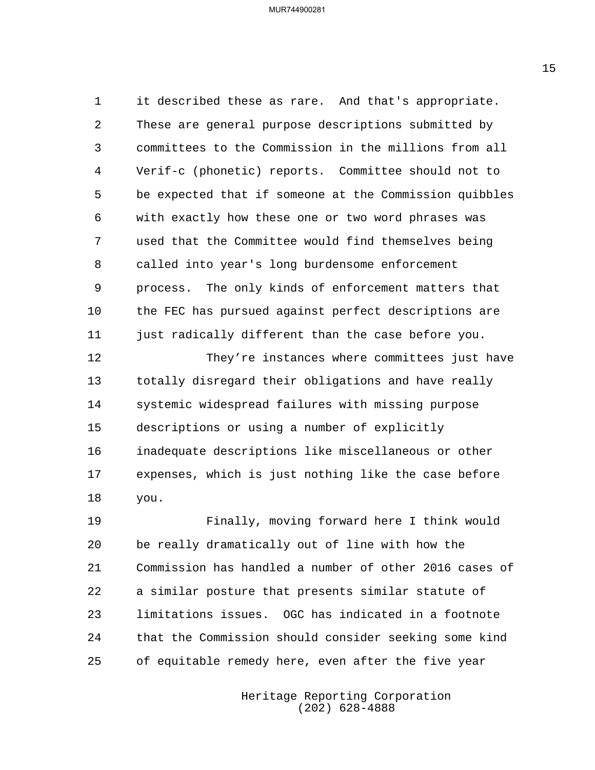it described these as rare. And that's appropriate. These are general purpose descriptions submitted by committees to the Commission in the millions from all Verif-c (phonetic) reports. Committee should not to be expected that if someone at the Commission quibbles with exactly how these one or two word phrases was used that the Committee would find themselves being called into year's long burdensome enforcement process. The only kinds of enforcement matters that the FEC has pursued against perfect descriptions are 11 just radically different than the case before you.

12 They're instances where committees just have totally disregard their obligations and have really systemic widespread failures with missing purpose descriptions or using a number of explicitly inadequate descriptions like miscellaneous or other expenses, which is just nothing like the case before you.

19 Finally, moving forward here I think would be really dramatically out of line with how the Commission has handled a number of other 2016 cases of a similar posture that presents similar statute of limitations issues. OGC has indicated in a footnote that the Commission should consider seeking some kind of equitable remedy here, even after the five year

> Heritage Reporting Corporation (202) 628-4888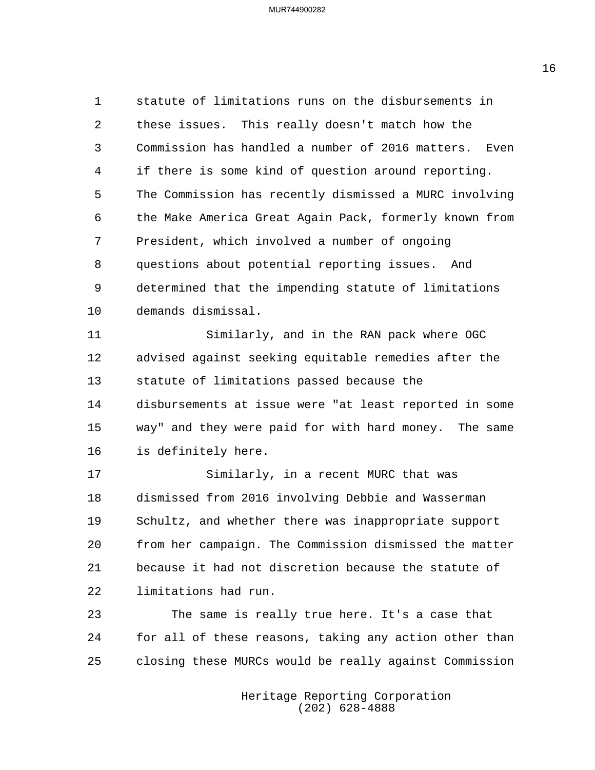statute of limitations runs on the disbursements in these issues. This really doesn't match how the Commission has handled a number of 2016 matters. Even if there is some kind of question around reporting. The Commission has recently dismissed a MURC involving the Make America Great Again Pack, formerly known from President, which involved a number of ongoing questions about potential reporting issues. And determined that the impending statute of limitations demands dismissal.

11 Similarly, and in the RAN pack where OGC advised against seeking equitable remedies after the statute of limitations passed because the disbursements at issue were "at least reported in some way" and they were paid for with hard money. The same is definitely here.

17 Similarly, in a recent MURC that was dismissed from 2016 involving Debbie and Wasserman Schultz, and whether there was inappropriate support from her campaign. The Commission dismissed the matter because it had not discretion because the statute of limitations had run.

23 The same is really true here. It's a case that for all of these reasons, taking any action other than closing these MURCs would be really against Commission

> Heritage Reporting Corporation (202) 628-4888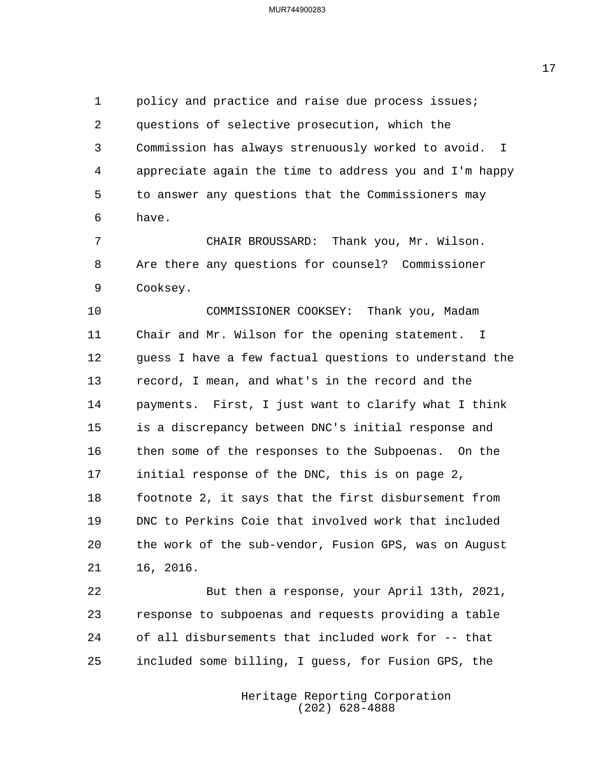policy and practice and raise due process issues; questions of selective prosecution, which the Commission has always strenuously worked to avoid. I appreciate again the time to address you and I'm happy to answer any questions that the Commissioners may have.

7 CHAIR BROUSSARD: Thank you, Mr. Wilson. Are there any questions for counsel? Commissioner Cooksey.

10 COMMISSIONER COOKSEY: Thank you, Madam Chair and Mr. Wilson for the opening statement. I guess I have a few factual questions to understand the record, I mean, and what's in the record and the payments. First, I just want to clarify what I think is a discrepancy between DNC's initial response and then some of the responses to the Subpoenas. On the initial response of the DNC, this is on page 2, footnote 2, it says that the first disbursement from DNC to Perkins Coie that involved work that included the work of the sub-vendor, Fusion GPS, was on August 16, 2016.

22 But then a response, your April 13th, 2021, response to subpoenas and requests providing a table of all disbursements that included work for -- that included some billing, I guess, for Fusion GPS, the

> Heritage Reporting Corporation (202) 628-4888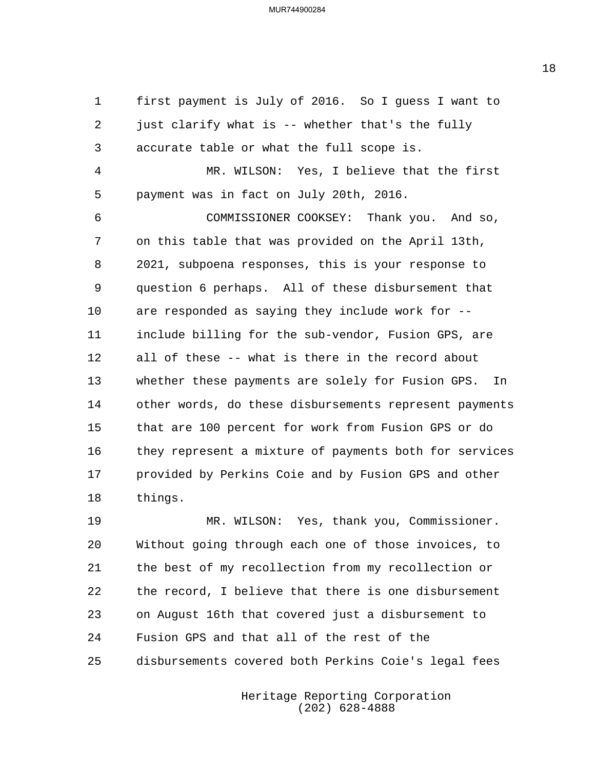first payment is July of 2016. So I guess I want to just clarify what is -- whether that's the fully accurate table or what the full scope is. 4 MR. WILSON: Yes, I believe that the first payment was in fact on July 20th, 2016. 6 COMMISSIONER COOKSEY: Thank you. And so, on this table that was provided on the April 13th, 2021, subpoena responses, this is your response to question 6 perhaps. All of these disbursement that are responded as saying they include work for -- include billing for the sub-vendor, Fusion GPS, are all of these -- what is there in the record about whether these payments are solely for Fusion GPS. In other words, do these disbursements represent payments that are 100 percent for work from Fusion GPS or do they represent a mixture of payments both for services provided by Perkins Coie and by Fusion GPS and other things.

19 MR. WILSON: Yes, thank you, Commissioner. Without going through each one of those invoices, to the best of my recollection from my recollection or the record, I believe that there is one disbursement on August 16th that covered just a disbursement to Fusion GPS and that all of the rest of the disbursements covered both Perkins Coie's legal fees

> Heritage Reporting Corporation (202) 628-4888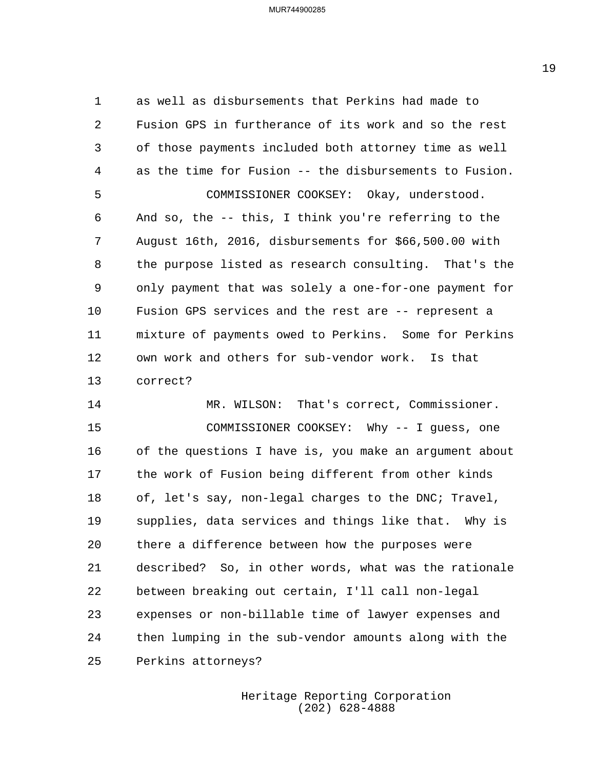as well as disbursements that Perkins had made to Fusion GPS in furtherance of its work and so the rest of those payments included both attorney time as well as the time for Fusion -- the disbursements to Fusion. 5 COMMISSIONER COOKSEY: Okay, understood. And so, the -- this, I think you're referring to the August 16th, 2016, disbursements for \$66,500.00 with the purpose listed as research consulting. That's the only payment that was solely a one-for-one payment for Fusion GPS services and the rest are -- represent a mixture of payments owed to Perkins. Some for Perkins own work and others for sub-vendor work. Is that correct?

14 MR. WILSON: That's correct, Commissioner. 15 COMMISSIONER COOKSEY: Why -- I guess, one of the questions I have is, you make an argument about the work of Fusion being different from other kinds of, let's say, non-legal charges to the DNC; Travel, supplies, data services and things like that. Why is there a difference between how the purposes were described? So, in other words, what was the rationale between breaking out certain, I'll call non-legal expenses or non-billable time of lawyer expenses and then lumping in the sub-vendor amounts along with the Perkins attorneys?

> Heritage Reporting Corporation (202) 628-4888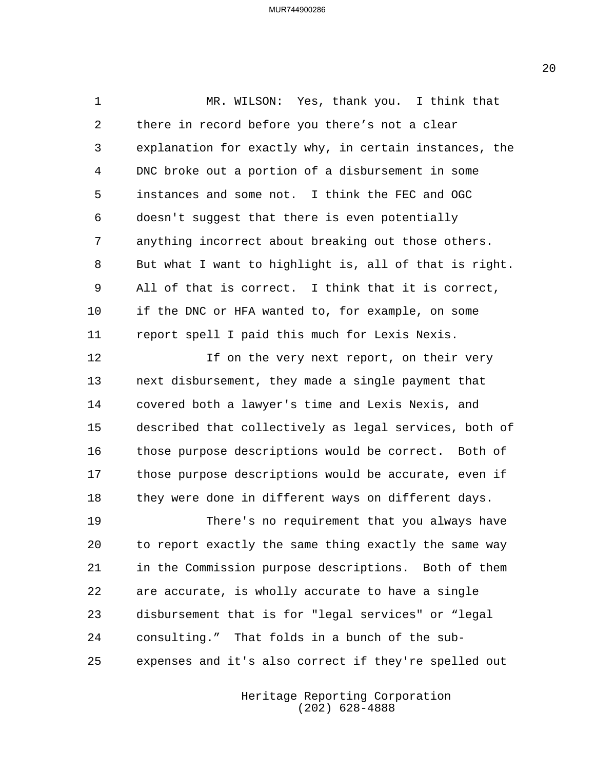1 MR. WILSON: Yes, thank you. I think that there in record before you there's not a clear explanation for exactly why, in certain instances, the DNC broke out a portion of a disbursement in some instances and some not. I think the FEC and OGC doesn't suggest that there is even potentially anything incorrect about breaking out those others. But what I want to highlight is, all of that is right. All of that is correct. I think that it is correct, if the DNC or HFA wanted to, for example, on some report spell I paid this much for Lexis Nexis. 12 12 If on the very next report, on their very

 next disbursement, they made a single payment that covered both a lawyer's time and Lexis Nexis, and described that collectively as legal services, both of those purpose descriptions would be correct. Both of those purpose descriptions would be accurate, even if they were done in different ways on different days.

19 There's no requirement that you always have to report exactly the same thing exactly the same way in the Commission purpose descriptions. Both of them are accurate, is wholly accurate to have a single disbursement that is for "legal services" or "legal consulting." That folds in a bunch of the sub-expenses and it's also correct if they're spelled out

> Heritage Reporting Corporation (202) 628-4888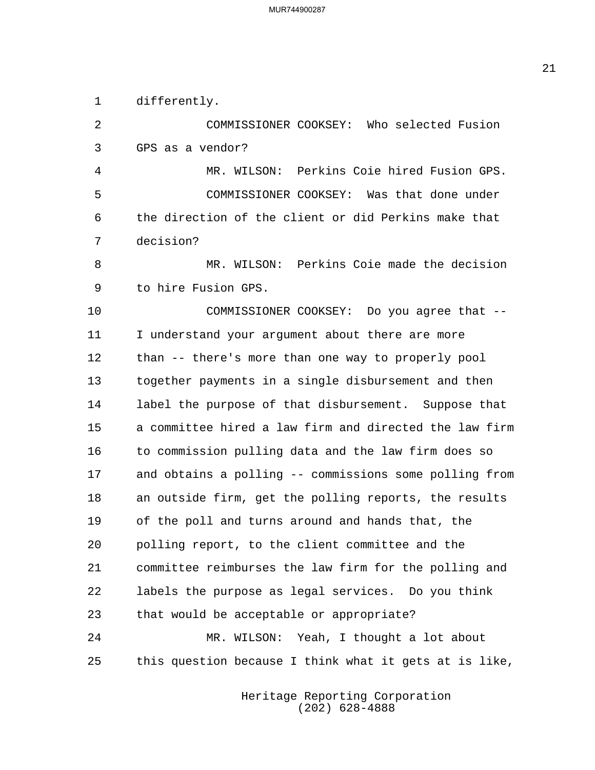differently.

2 COMMISSIONER COOKSEY: Who selected Fusion GPS as a vendor? 4 MR. WILSON: Perkins Coie hired Fusion GPS. 5 COMMISSIONER COOKSEY: Was that done under the direction of the client or did Perkins make that decision? 8 MR. WILSON: Perkins Coie made the decision to hire Fusion GPS. 10 COMMISSIONER COOKSEY: Do you agree that -- I understand your argument about there are more than -- there's more than one way to properly pool together payments in a single disbursement and then label the purpose of that disbursement. Suppose that a committee hired a law firm and directed the law firm to commission pulling data and the law firm does so and obtains a polling -- commissions some polling from an outside firm, get the polling reports, the results of the poll and turns around and hands that, the polling report, to the client committee and the committee reimburses the law firm for the polling and labels the purpose as legal services. Do you think that would be acceptable or appropriate? 24 MR. WILSON: Yeah, I thought a lot about this question because I think what it gets at is like,

> Heritage Reporting Corporation (202) 628-4888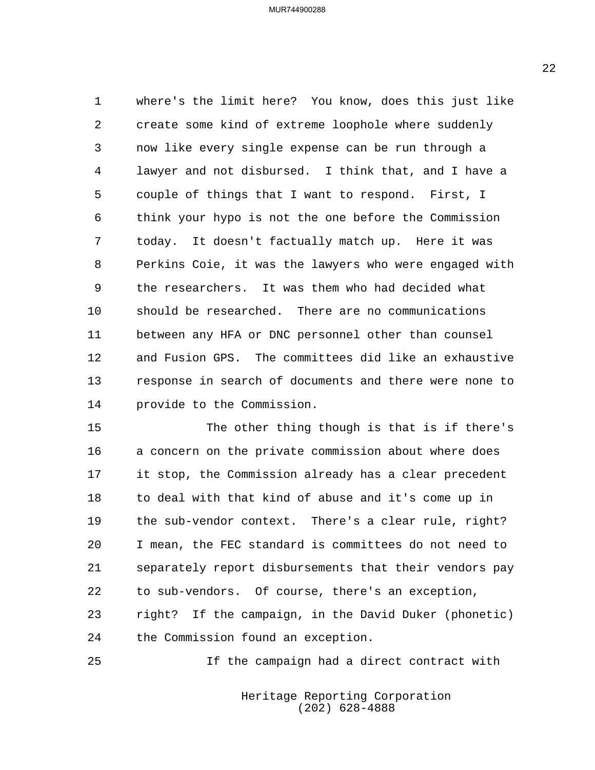where's the limit here? You know, does this just like create some kind of extreme loophole where suddenly now like every single expense can be run through a lawyer and not disbursed. I think that, and I have a couple of things that I want to respond. First, I think your hypo is not the one before the Commission today. It doesn't factually match up. Here it was Perkins Coie, it was the lawyers who were engaged with the researchers. It was them who had decided what should be researched. There are no communications between any HFA or DNC personnel other than counsel and Fusion GPS. The committees did like an exhaustive response in search of documents and there were none to provide to the Commission.

15 The other thing though is that is if there's a concern on the private commission about where does it stop, the Commission already has a clear precedent to deal with that kind of abuse and it's come up in the sub-vendor context. There's a clear rule, right? I mean, the FEC standard is committees do not need to separately report disbursements that their vendors pay to sub-vendors. Of course, there's an exception, right? If the campaign, in the David Duker (phonetic) the Commission found an exception.

25 If the campaign had a direct contract with

Heritage Reporting Corporation (202) 628-4888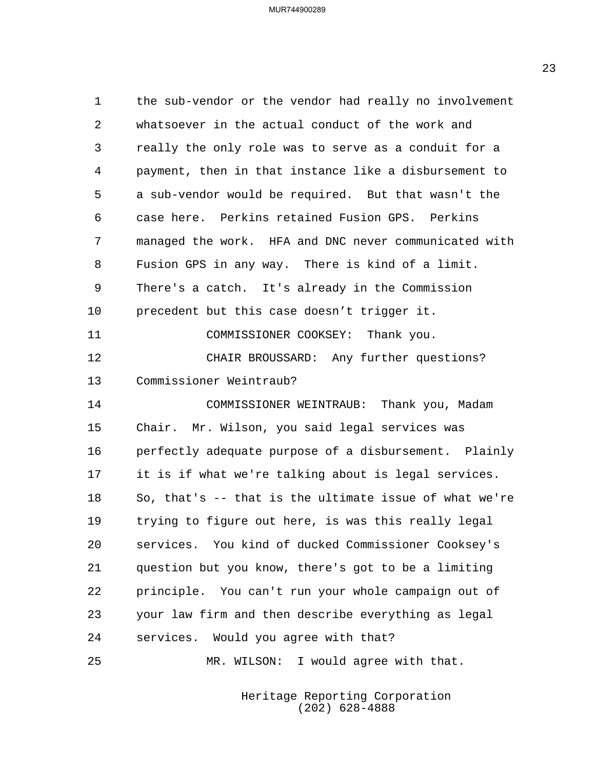the sub-vendor or the vendor had really no involvement whatsoever in the actual conduct of the work and really the only role was to serve as a conduit for a payment, then in that instance like a disbursement to a sub-vendor would be required. But that wasn't the case here. Perkins retained Fusion GPS. Perkins managed the work. HFA and DNC never communicated with Fusion GPS in any way. There is kind of a limit. There's a catch. It's already in the Commission precedent but this case doesn't trigger it. 11 COMMISSIONER COOKSEY: Thank you. 12 CHAIR BROUSSARD: Any further questions? Commissioner Weintraub? 14 COMMISSIONER WEINTRAUB: Thank you, Madam Chair. Mr. Wilson, you said legal services was perfectly adequate purpose of a disbursement. Plainly it is if what we're talking about is legal services. So, that's -- that is the ultimate issue of what we're trying to figure out here, is was this really legal services. You kind of ducked Commissioner Cooksey's question but you know, there's got to be a limiting principle. You can't run your whole campaign out of your law firm and then describe everything as legal services. Would you agree with that? 25 MR. WILSON: I would agree with that.

> Heritage Reporting Corporation (202) 628-4888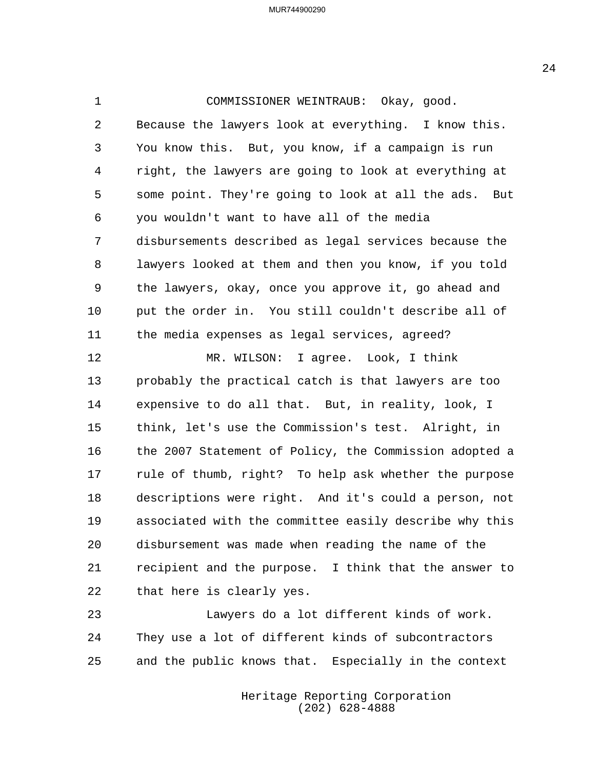1 COMMISSIONER WEINTRAUB: Okay, good. Because the lawyers look at everything. I know this. You know this. But, you know, if a campaign is run right, the lawyers are going to look at everything at some point. They're going to look at all the ads. But you wouldn't want to have all of the media disbursements described as legal services because the lawyers looked at them and then you know, if you told the lawyers, okay, once you approve it, go ahead and put the order in. You still couldn't describe all of the media expenses as legal services, agreed? 12 MR. WILSON: I agree. Look, I think probably the practical catch is that lawyers are too expensive to do all that. But, in reality, look, I think, let's use the Commission's test. Alright, in the 2007 Statement of Policy, the Commission adopted a rule of thumb, right? To help ask whether the purpose descriptions were right. And it's could a person, not associated with the committee easily describe why this disbursement was made when reading the name of the

 recipient and the purpose. I think that the answer to that here is clearly yes.

23 Lawyers do a lot different kinds of work. They use a lot of different kinds of subcontractors and the public knows that. Especially in the context

> Heritage Reporting Corporation (202) 628-4888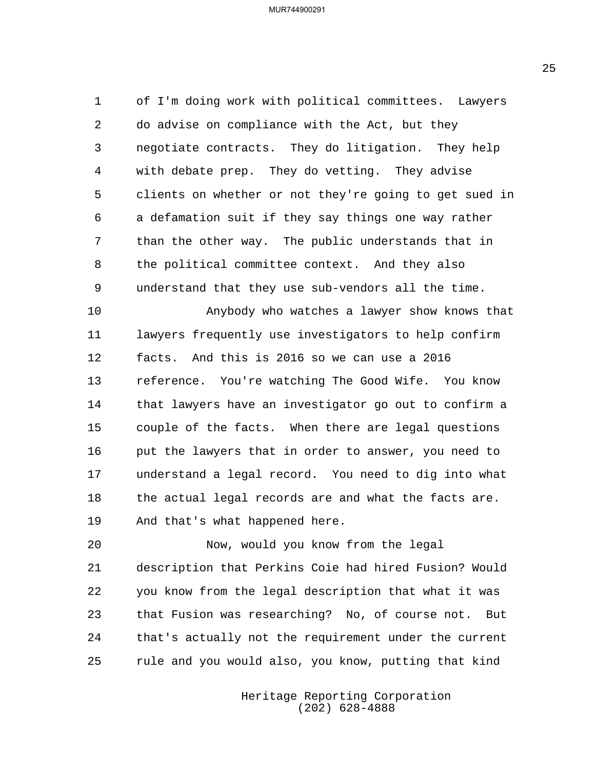of I'm doing work with political committees. Lawyers do advise on compliance with the Act, but they negotiate contracts. They do litigation. They help with debate prep. They do vetting. They advise clients on whether or not they're going to get sued in a defamation suit if they say things one way rather than the other way. The public understands that in the political committee context. And they also understand that they use sub-vendors all the time.

10 Anybody who watches a lawyer show knows that lawyers frequently use investigators to help confirm facts. And this is 2016 so we can use a 2016 reference. You're watching The Good Wife. You know that lawyers have an investigator go out to confirm a couple of the facts. When there are legal questions 16 put the lawyers that in order to answer, you need to understand a legal record. You need to dig into what 18 the actual legal records are and what the facts are. And that's what happened here.

20 Now, would you know from the legal description that Perkins Coie had hired Fusion? Would you know from the legal description that what it was that Fusion was researching? No, of course not. But that's actually not the requirement under the current rule and you would also, you know, putting that kind

> Heritage Reporting Corporation (202) 628-4888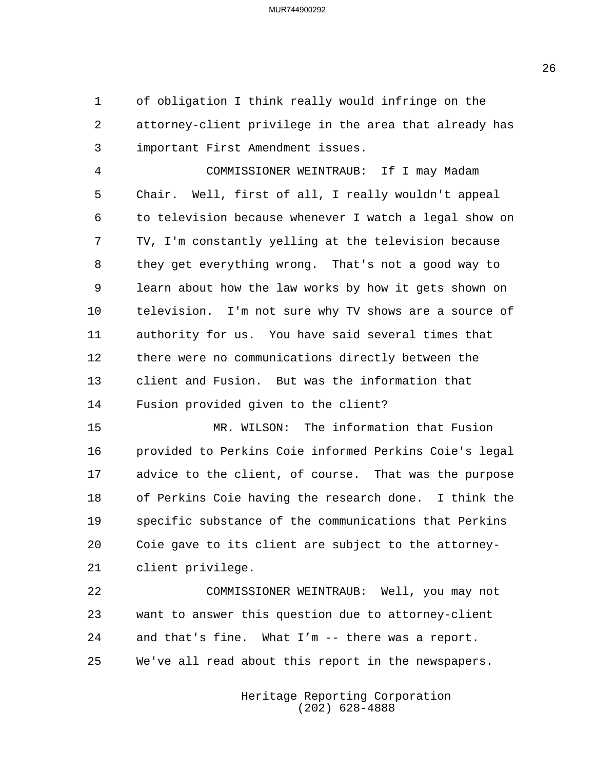of obligation I think really would infringe on the attorney-client privilege in the area that already has important First Amendment issues.

4 COMMISSIONER WEINTRAUB: If I may Madam Chair. Well, first of all, I really wouldn't appeal to television because whenever I watch a legal show on TV, I'm constantly yelling at the television because they get everything wrong. That's not a good way to learn about how the law works by how it gets shown on television. I'm not sure why TV shows are a source of authority for us. You have said several times that there were no communications directly between the client and Fusion. But was the information that Fusion provided given to the client?

15 MR. WILSON: The information that Fusion provided to Perkins Coie informed Perkins Coie's legal advice to the client, of course. That was the purpose of Perkins Coie having the research done. I think the specific substance of the communications that Perkins Coie gave to its client are subject to the attorney-client privilege.

22 COMMISSIONER WEINTRAUB: Well, you may not want to answer this question due to attorney-client and that's fine. What I'm -- there was a report. We've all read about this report in the newspapers.

> Heritage Reporting Corporation (202) 628-4888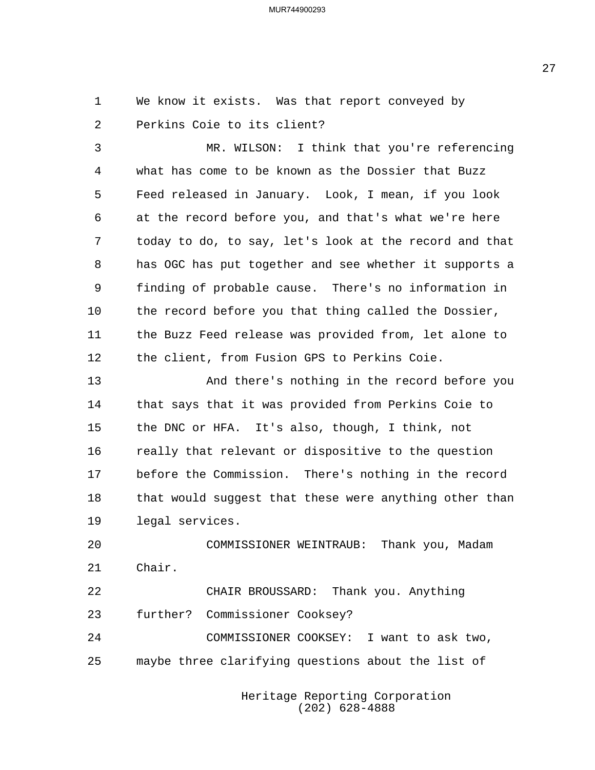We know it exists. Was that report conveyed by Perkins Coie to its client?

3 MR. WILSON: I think that you're referencing what has come to be known as the Dossier that Buzz Feed released in January. Look, I mean, if you look at the record before you, and that's what we're here today to do, to say, let's look at the record and that has OGC has put together and see whether it supports a finding of probable cause. There's no information in the record before you that thing called the Dossier, the Buzz Feed release was provided from, let alone to the client, from Fusion GPS to Perkins Coie.

13 And there's nothing in the record before you that says that it was provided from Perkins Coie to the DNC or HFA. It's also, though, I think, not really that relevant or dispositive to the question before the Commission. There's nothing in the record 18 that would suggest that these were anything other than legal services.

20 COMMISSIONER WEINTRAUB: Thank you, Madam Chair. 22 CHAIR BROUSSARD: Thank you. Anything

 further? Commissioner Cooksey? 24 COMMISSIONER COOKSEY: I want to ask two, maybe three clarifying questions about the list of

> Heritage Reporting Corporation (202) 628-4888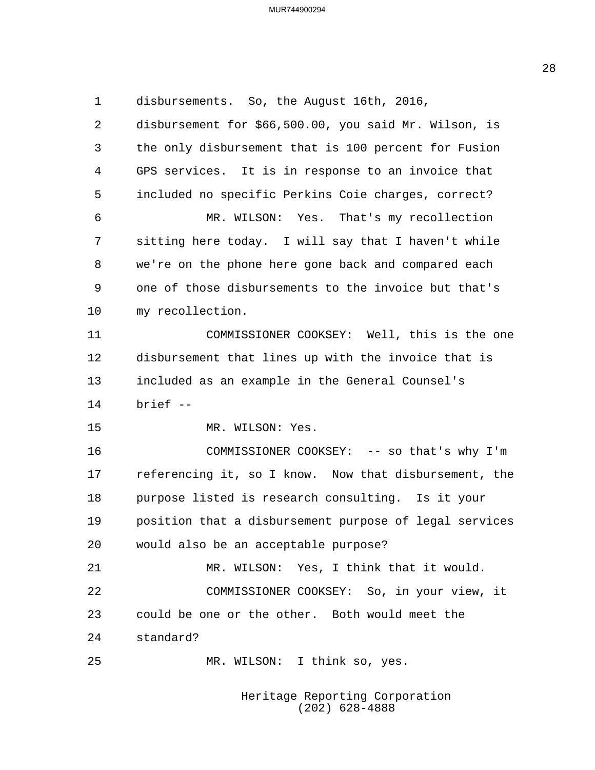disbursements. So, the August 16th, 2016, disbursement for \$66,500.00, you said Mr. Wilson, is the only disbursement that is 100 percent for Fusion GPS services. It is in response to an invoice that included no specific Perkins Coie charges, correct? 6 MR. WILSON: Yes. That's my recollection sitting here today. I will say that I haven't while we're on the phone here gone back and compared each one of those disbursements to the invoice but that's my recollection. 11 COMMISSIONER COOKSEY: Well, this is the one disbursement that lines up with the invoice that is included as an example in the General Counsel's brief -- 15 MR. WILSON: Yes. 16 COMMISSIONER COOKSEY: -- so that's why I'm referencing it, so I know. Now that disbursement, the purpose listed is research consulting. Is it your position that a disbursement purpose of legal services would also be an acceptable purpose? 21 MR. WILSON: Yes, I think that it would. 22 COMMISSIONER COOKSEY: So, in your view, it could be one or the other. Both would meet the standard? 25 MR. WILSON: I think so, yes.

Heritage Reporting Corporation (202) 628-4888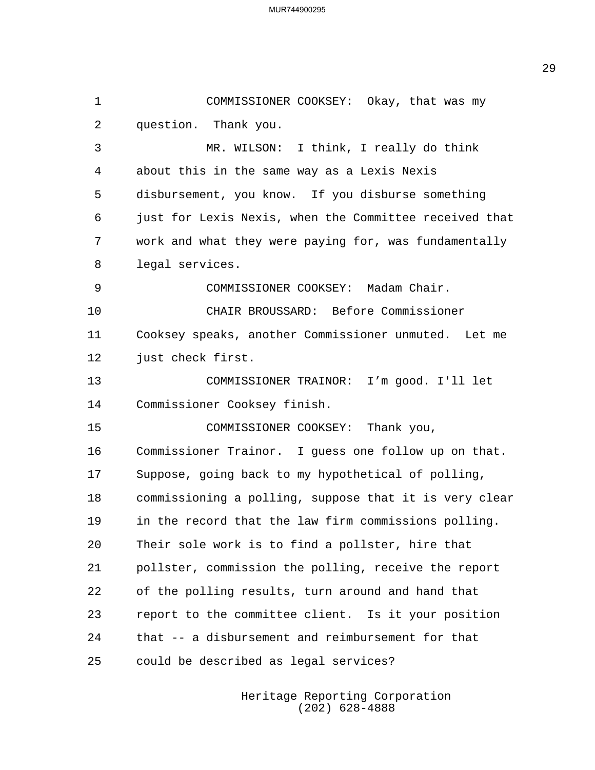1 COMMISSIONER COOKSEY: Okay, that was my question. Thank you. 3 MR. WILSON: I think, I really do think about this in the same way as a Lexis Nexis disbursement, you know. If you disburse something just for Lexis Nexis, when the Committee received that work and what they were paying for, was fundamentally legal services. 9 COMMISSIONER COOKSEY: Madam Chair. 10 CHAIR BROUSSARD: Before Commissioner Cooksey speaks, another Commissioner unmuted. Let me just check first. 13 COMMISSIONER TRAINOR: I'm good. I'll let Commissioner Cooksey finish. 15 COMMISSIONER COOKSEY: Thank you, Commissioner Trainor. I guess one follow up on that. Suppose, going back to my hypothetical of polling, commissioning a polling, suppose that it is very clear in the record that the law firm commissions polling. Their sole work is to find a pollster, hire that pollster, commission the polling, receive the report of the polling results, turn around and hand that report to the committee client. Is it your position that -- a disbursement and reimbursement for that could be described as legal services?

> Heritage Reporting Corporation (202) 628-4888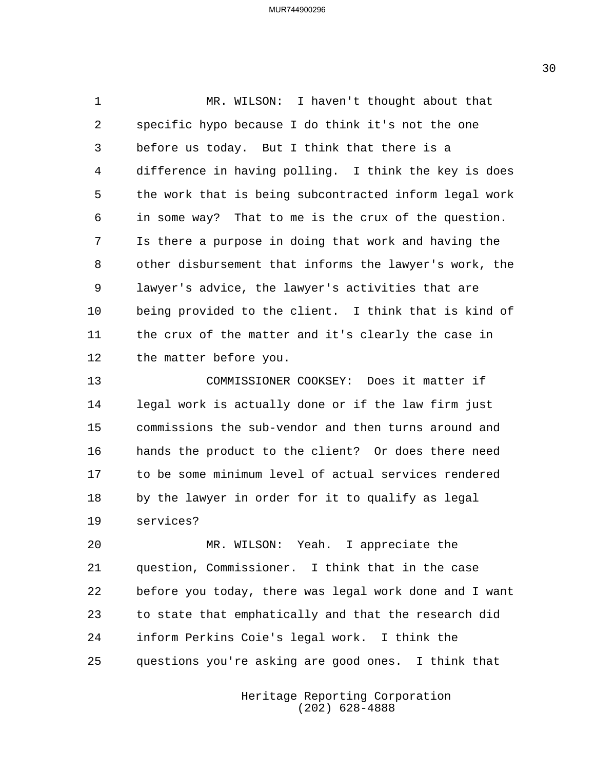1 MR. WILSON: I haven't thought about that specific hypo because I do think it's not the one before us today. But I think that there is a difference in having polling. I think the key is does the work that is being subcontracted inform legal work in some way? That to me is the crux of the question. Is there a purpose in doing that work and having the other disbursement that informs the lawyer's work, the lawyer's advice, the lawyer's activities that are being provided to the client. I think that is kind of the crux of the matter and it's clearly the case in the matter before you.

13 COMMISSIONER COOKSEY: Does it matter if legal work is actually done or if the law firm just commissions the sub-vendor and then turns around and hands the product to the client? Or does there need to be some minimum level of actual services rendered by the lawyer in order for it to qualify as legal services?

20 MR. WILSON: Yeah. I appreciate the question, Commissioner. I think that in the case before you today, there was legal work done and I want to state that emphatically and that the research did inform Perkins Coie's legal work. I think the questions you're asking are good ones. I think that

> Heritage Reporting Corporation (202) 628-4888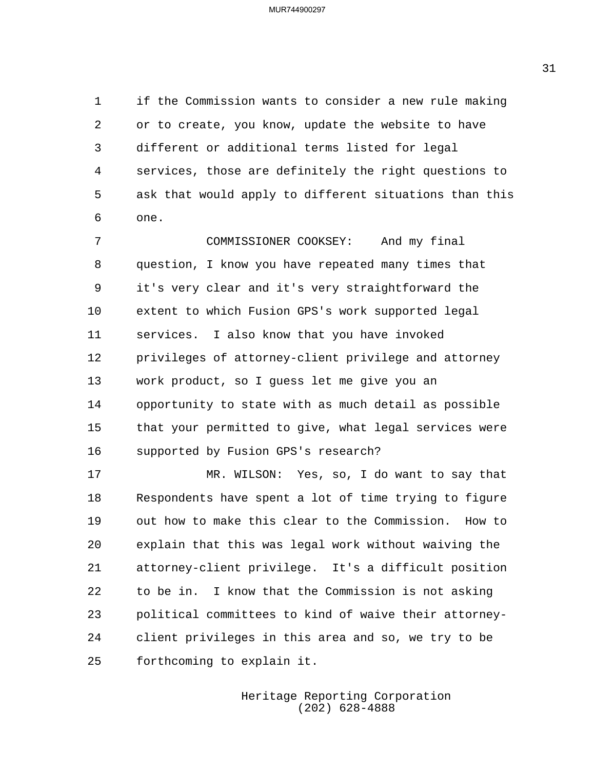if the Commission wants to consider a new rule making or to create, you know, update the website to have different or additional terms listed for legal services, those are definitely the right questions to ask that would apply to different situations than this one.

7 COMMISSIONER COOKSEY: And my final question, I know you have repeated many times that it's very clear and it's very straightforward the extent to which Fusion GPS's work supported legal services. I also know that you have invoked privileges of attorney-client privilege and attorney work product, so I guess let me give you an opportunity to state with as much detail as possible that your permitted to give, what legal services were supported by Fusion GPS's research?

17 MR. WILSON: Yes, so, I do want to say that Respondents have spent a lot of time trying to figure out how to make this clear to the Commission. How to explain that this was legal work without waiving the attorney-client privilege. It's a difficult position to be in. I know that the Commission is not asking political committees to kind of waive their attorney- client privileges in this area and so, we try to be forthcoming to explain it.

> Heritage Reporting Corporation (202) 628-4888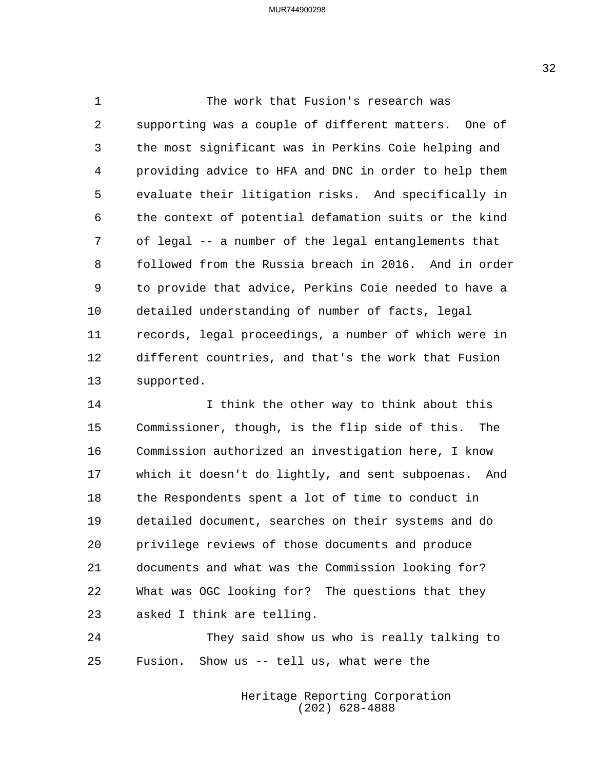1 The work that Fusion's research was supporting was a couple of different matters. One of the most significant was in Perkins Coie helping and providing advice to HFA and DNC in order to help them evaluate their litigation risks. And specifically in the context of potential defamation suits or the kind of legal -- a number of the legal entanglements that followed from the Russia breach in 2016. And in order to provide that advice, Perkins Coie needed to have a detailed understanding of number of facts, legal records, legal proceedings, a number of which were in different countries, and that's the work that Fusion supported.

14 I think the other way to think about this Commissioner, though, is the flip side of this. The Commission authorized an investigation here, I know which it doesn't do lightly, and sent subpoenas. And the Respondents spent a lot of time to conduct in detailed document, searches on their systems and do privilege reviews of those documents and produce documents and what was the Commission looking for? What was OGC looking for? The questions that they asked I think are telling.

24 They said show us who is really talking to Fusion. Show us -- tell us, what were the

> Heritage Reporting Corporation (202) 628-4888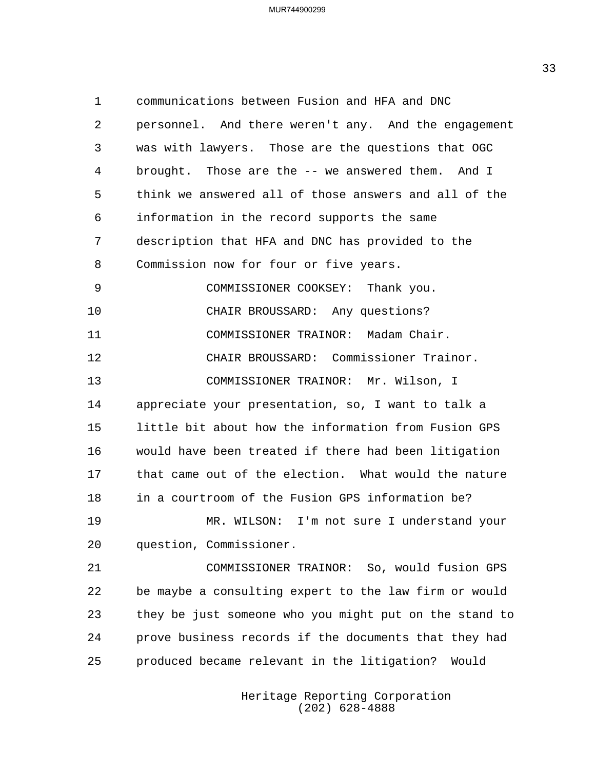communications between Fusion and HFA and DNC personnel. And there weren't any. And the engagement was with lawyers. Those are the questions that OGC brought. Those are the -- we answered them. And I think we answered all of those answers and all of the information in the record supports the same description that HFA and DNC has provided to the Commission now for four or five years. 9 COMMISSIONER COOKSEY: Thank you. 10 CHAIR BROUSSARD: Any questions? 11 COMMISSIONER TRAINOR: Madam Chair. 12 CHAIR BROUSSARD: Commissioner Trainor. 13 COMMISSIONER TRAINOR: Mr. Wilson, I appreciate your presentation, so, I want to talk a little bit about how the information from Fusion GPS would have been treated if there had been litigation that came out of the election. What would the nature in a courtroom of the Fusion GPS information be? 19 MR. WILSON: I'm not sure I understand your question, Commissioner. 21 COMMISSIONER TRAINOR: So, would fusion GPS be maybe a consulting expert to the law firm or would they be just someone who you might put on the stand to prove business records if the documents that they had produced became relevant in the litigation? Would

> Heritage Reporting Corporation (202) 628-4888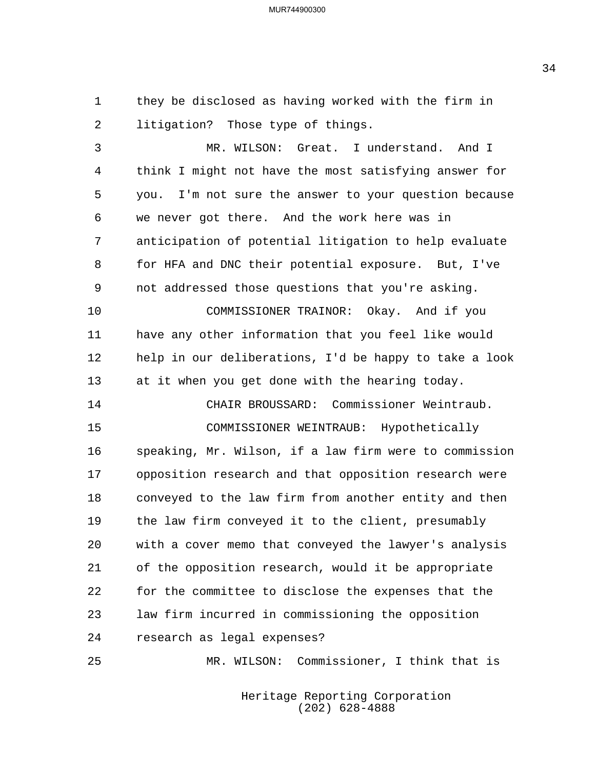they be disclosed as having worked with the firm in litigation? Those type of things.

3 MR. WILSON: Great. I understand. And I think I might not have the most satisfying answer for you. I'm not sure the answer to your question because we never got there. And the work here was in anticipation of potential litigation to help evaluate for HFA and DNC their potential exposure. But, I've not addressed those questions that you're asking. 10 COMMISSIONER TRAINOR: Okay. And if you have any other information that you feel like would help in our deliberations, I'd be happy to take a look at it when you get done with the hearing today. 14 CHAIR BROUSSARD: Commissioner Weintraub. 15 COMMISSIONER WEINTRAUB: Hypothetically speaking, Mr. Wilson, if a law firm were to commission opposition research and that opposition research were conveyed to the law firm from another entity and then the law firm conveyed it to the client, presumably with a cover memo that conveyed the lawyer's analysis of the opposition research, would it be appropriate for the committee to disclose the expenses that the law firm incurred in commissioning the opposition research as legal expenses?

25 MR. WILSON: Commissioner, I think that is

Heritage Reporting Corporation (202) 628-4888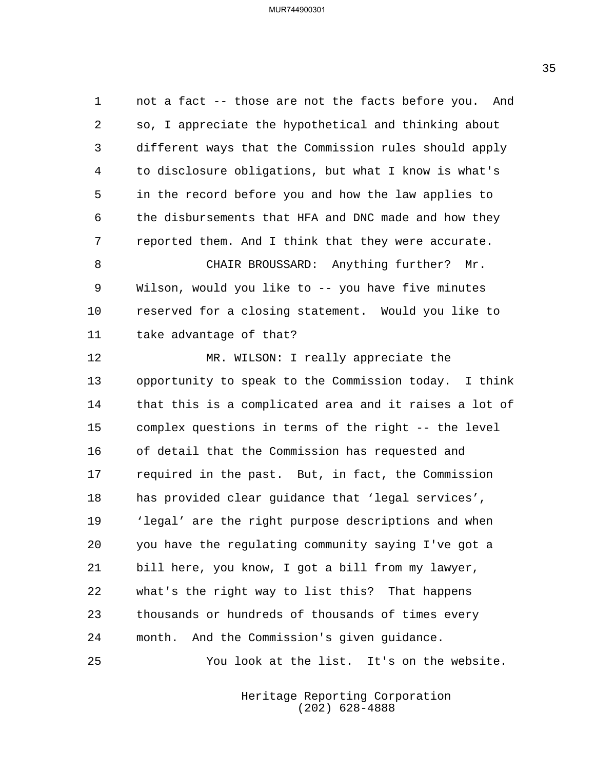not a fact -- those are not the facts before you. And so, I appreciate the hypothetical and thinking about different ways that the Commission rules should apply to disclosure obligations, but what I know is what's in the record before you and how the law applies to the disbursements that HFA and DNC made and how they reported them. And I think that they were accurate.

8 CHAIR BROUSSARD: Anything further? Mr. Wilson, would you like to -- you have five minutes reserved for a closing statement. Would you like to take advantage of that?

12 MR. WILSON: I really appreciate the opportunity to speak to the Commission today. I think that this is a complicated area and it raises a lot of complex questions in terms of the right -- the level of detail that the Commission has requested and required in the past. But, in fact, the Commission has provided clear guidance that 'legal services', 'legal' are the right purpose descriptions and when you have the regulating community saying I've got a bill here, you know, I got a bill from my lawyer, what's the right way to list this? That happens thousands or hundreds of thousands of times every month. And the Commission's given guidance.

25 You look at the list. It's on the website.

Heritage Reporting Corporation (202) 628-4888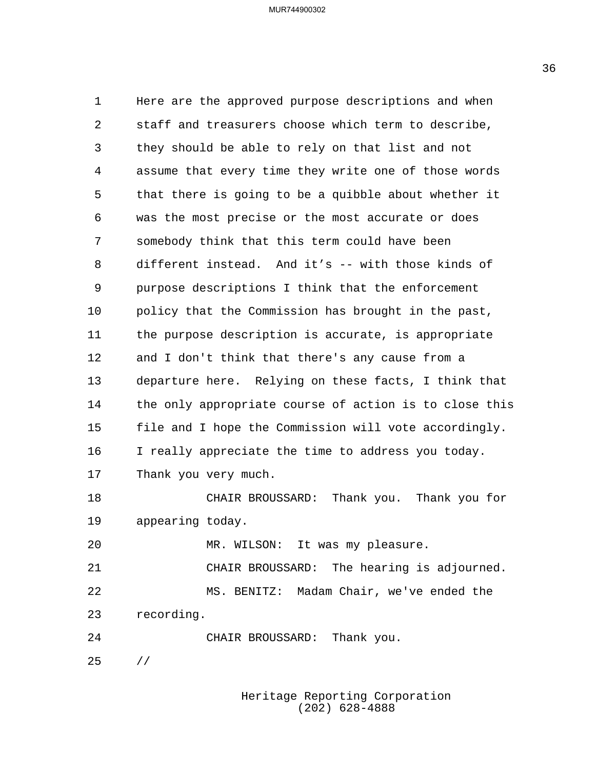Here are the approved purpose descriptions and when staff and treasurers choose which term to describe, they should be able to rely on that list and not assume that every time they write one of those words that there is going to be a quibble about whether it was the most precise or the most accurate or does somebody think that this term could have been different instead. And it's -- with those kinds of purpose descriptions I think that the enforcement policy that the Commission has brought in the past, the purpose description is accurate, is appropriate and I don't think that there's any cause from a departure here. Relying on these facts, I think that the only appropriate course of action is to close this file and I hope the Commission will vote accordingly. I really appreciate the time to address you today. Thank you very much. 18 CHAIR BROUSSARD: Thank you. Thank you for appearing today. 20 MR. WILSON: It was my pleasure. 21 CHAIR BROUSSARD: The hearing is adjourned. 22 MS. BENITZ: Madam Chair, we've ended the recording. 24 CHAIR BROUSSARD: Thank you. //

> Heritage Reporting Corporation (202) 628-4888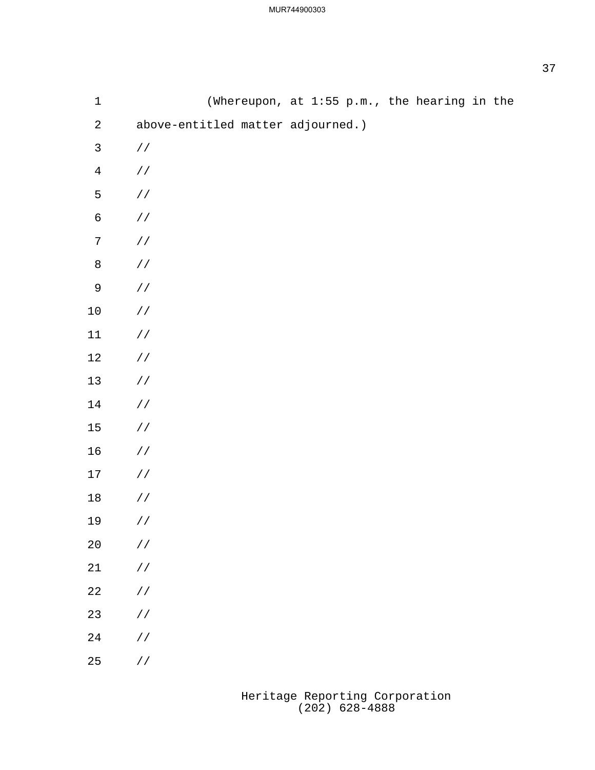| $1\,$          |                                   | (Whereupon, at 1:55 p.m., the hearing in the |  |  |  |  |
|----------------|-----------------------------------|----------------------------------------------|--|--|--|--|
| $\sqrt{2}$     | above-entitled matter adjourned.) |                                              |  |  |  |  |
| $\mathsf{3}$   | $\!/\!$ /                         |                                              |  |  |  |  |
| $\overline{4}$ | $\!/\!$ /                         |                                              |  |  |  |  |
| 5              | $\!/\!$ /                         |                                              |  |  |  |  |
| $\sqrt{6}$     | $\!/\!$ /                         |                                              |  |  |  |  |
| $\sqrt{ }$     | $\!/\!$ /                         |                                              |  |  |  |  |
| $\,8\,$        | $\!/\!$ /                         |                                              |  |  |  |  |
| $\mathsf 9$    | $\!/\!$ /                         |                                              |  |  |  |  |
| $10\,$         | $\!/\!$ /                         |                                              |  |  |  |  |
| $11$           | $\!/\!$ /                         |                                              |  |  |  |  |
| $12$           | $\!/\!$ /                         |                                              |  |  |  |  |
| $13$           | $\!/\!$ /                         |                                              |  |  |  |  |
| 14             | $\!/\!$ /                         |                                              |  |  |  |  |
| $15\,$         | $\!/\!$ /                         |                                              |  |  |  |  |
| 16             | $\!/\!$ /                         |                                              |  |  |  |  |
| 17             | $\!/\!$ /                         |                                              |  |  |  |  |
| $18\,$         | $\frac{1}{2}$                     |                                              |  |  |  |  |
| 19             | $\frac{1}{2}$                     |                                              |  |  |  |  |
| $20\,$         | $\!/\!$ /                         |                                              |  |  |  |  |
| $21\,$         | / $\mskip 1mu /$                  |                                              |  |  |  |  |
| $2\sqrt{2}$    | / $\mskip 1mu /$                  |                                              |  |  |  |  |
| $23\,$         | / $\mskip 1mu /$                  |                                              |  |  |  |  |
| $2\sqrt{4}$    | / $\mskip 1mu /$                  |                                              |  |  |  |  |
| 25             | / $\mskip 1mu /$                  |                                              |  |  |  |  |
|                |                                   |                                              |  |  |  |  |

Heritage Reporting Corporation (202) 628-4888